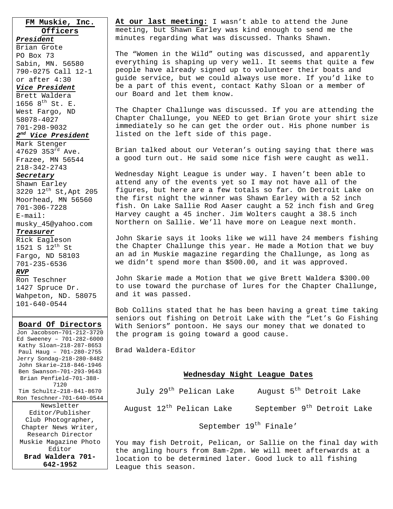**FM Muskie, Inc. Officers**

*President* Brian Grote PO Box 73 Sabin, MN. 56580 790-0275 Call 12-1 or after 4:30 *Vice President*

Brett Waldera 1656  $8^{th}$  St. E. West Fargo, ND 58078-4027 701-298-9032 *2nd Vice President*

Mark Stenger 47629 353 $^{rd}$  Ave. Frazee, MN 56544

#### 218-342-2743

*Secretary*

Shawn Earley 3220 12th St,Apt 205 Moorhead, MN 56560 701-306-7228 E-mail:

musky\_45@yahoo.com *Treasurer*

Rick Eagleson 1521 S 12th St Fargo, ND 58103 701-235-6536 *RVP*

Ron Teschner 1427 Spruce Dr. Wahpeton, ND. 58075 101-640-0544

#### **Board Of Directors**

Jon Jacobson–701-212-3720 Ed Sweeney – 701-282-6000 Kathy Sloan–218-287-8653 Paul Haug – 701-280-2755 Jerry Sondag–218-280-8482 John Skarie–218-846-1946 Ben Swanson–701-293-9643 Brian Penfield–701-388- 7120 Tim Schultz–218-841-8670 Ron Teschner-701-640-0544 Newsletter Editor/Publisher Club Photographer, Chapter News Writer, Research Director Muskie Magazine Photo Editor **Brad Waldera 701- 642-1952** 

**At our last meeting:** I wasn't able to attend the June meeting, but Shawn Earley was kind enough to send me the minutes regarding what was discussed. Thanks Shawn.

The "Women in the Wild" outing was discussed, and apparently everything is shaping up very well. It seems that quite a few people have already signed up to volunteer their boats and guide service, but we could always use more. If you'd like to be a part of this event, contact Kathy Sloan or a member of our Board and let them know.

The Chapter Challunge was discussed. If you are attending the Chapter Challunge, you NEED to get Brian Grote your shirt size immediately so he can get the order out. His phone number is listed on the left side of this page.

Brian talked about our Veteran's outing saying that there was a good turn out. He said some nice fish were caught as well.

Wednesday Night League is under way. I haven't been able to attend any of the events yet so I may not have all of the figures, but here are a few totals so far. On Detroit Lake on the first night the winner was Shawn Earley with a 52 inch fish. On Lake Sallie Rod Aaser caught a 52 inch fish and Greg Harvey caught a 45 incher. Jim Wolters caught a 38.5 inch Northern on Sallie. We'll have more on League next month.

John Skarie says it looks like we will have 24 members fishing the Chapter Challunge this year. He made a Motion that we buy an ad in Muskie magazine regarding the Challunge, as long as we didn't spend more than \$500.00, and it was approved.

John Skarie made a Motion that we give Brett Waldera \$300.00 to use toward the purchase of lures for the Chapter Challunge, and it was passed.

Bob Collins stated that he has been having a great time taking seniors out fishing on Detroit Lake with the "Let's Go Fishing With Seniors" pontoon. He says our money that we donated to the program is going toward a good cause.

Brad Waldera-Editor

### **Wednesday Night League Dates**

July 29<sup>th</sup> Pelican Lake August 5<sup>th</sup> Detroit Lake

August 12<sup>th</sup> Pelican Lake September 9<sup>th</sup> Detroit Lake

September 19<sup>th</sup> Finale'

You may fish Detroit, Pelican, or Sallie on the final day with the angling hours from 8am-2pm. We will meet afterwards at a location to be determined later. Good luck to all fishing League this season.